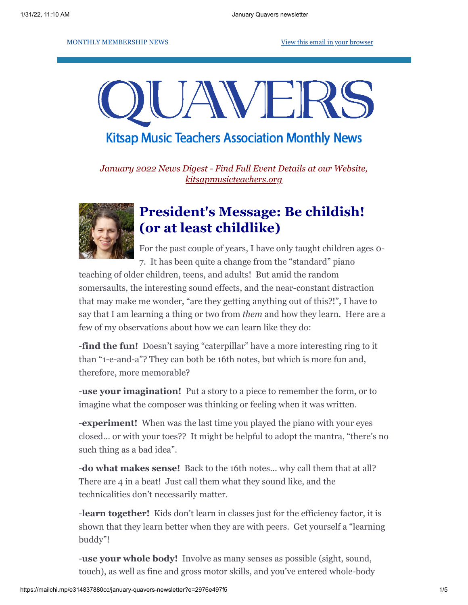MONTHLY MEMBERSHIP NEWS [View this email in your browser](https://mailchi.mp/e314837880cc/january-quavers-newsletter?e=2976e497f5)

# JAVEI

**Kitsap Music Teachers Association Monthly News** 

*January 2022 News Digest - Find Full Event Details at our Website, [kitsapmusicteachers.org](http://www.kitsapmusicteachers.org/)*



# **President's Message: Be childish! (or at least childlike)**

For the past couple of years, I have only taught children ages 0- 7. It has been quite a change from the "standard" piano

teaching of older children, teens, and adults! But amid the random somersaults, the interesting sound effects, and the near-constant distraction that may make me wonder, "are they getting anything out of this?!", I have to say that I am learning a thing or two from *them* and how they learn. Here are a few of my observations about how we can learn like they do:

-**find the fun!** Doesn't saying "caterpillar" have a more interesting ring to it than "1-e-and-a"? They can both be 16th notes, but which is more fun and, therefore, more memorable?

-**use your imagination!** Put a story to a piece to remember the form, or to imagine what the composer was thinking or feeling when it was written.

-**experiment!** When was the last time you played the piano with your eyes closed… or with your toes?? It might be helpful to adopt the mantra, "there's no such thing as a bad idea".

-**do what makes sense!** Back to the 16th notes… why call them that at all? There are 4 in a beat! Just call them what they sound like, and the technicalities don't necessarily matter.

-**learn together!** Kids don't learn in classes just for the efficiency factor, it is shown that they learn better when they are with peers. Get yourself a "learning buddy"!

-**use your whole body!** Involve as many senses as possible (sight, sound, touch), as well as fine and gross motor skills, and you've entered whole-body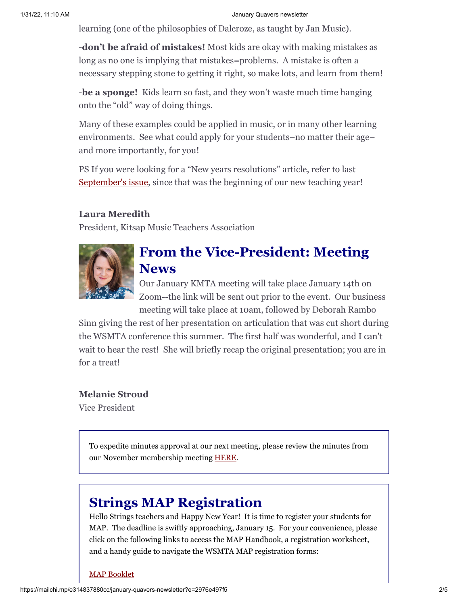learning (one of the philosophies of Dalcroze, as taught by Jan Music).

-**don't be afraid of mistakes!** Most kids are okay with making mistakes as long as no one is implying that mistakes=problems. A mistake is often a necessary stepping stone to getting it right, so make lots, and learn from them!

-**be a sponge!** Kids learn so fast, and they won't waste much time hanging onto the "old" way of doing things.

Many of these examples could be applied in music, or in many other learning environments. See what could apply for your students–no matter their age– and more importantly, for you!

PS If you were looking for a "New years resolutions" article, refer to last [September's issue](https://kitsapmusicteachers.org/wp-content/uploads/2021/09/September-Quavers-newsletter.pdf), since that was the beginning of our new teaching year!

## **Laura Meredith**

President, Kitsap Music Teachers Association



# **From the Vice-President: Meeting News**

Our January KMTA meeting will take place January 14th on Zoom--the link will be sent out prior to the event. Our business meeting will take place at 10am, followed by Deborah Rambo

Sinn giving the rest of her presentation on articulation that was cut short during the WSMTA conference this summer. The first half was wonderful, and I can't wait to hear the rest! She will briefly recap the original presentation; you are in for a treat!

## **Melanie Stroud**

Vice President

To expedite minutes approval at our next meeting, please review the minutes from our November membership meeting [HERE](https://docs.google.com/document/d/10iqy0ABZ9MtNa6AqYJfVecj420UVaJv2/edit?usp=sharing&ouid=117207654775875000168&rtpof=true&sd=true).

# **Strings MAP Registration**

Hello Strings teachers and Happy New Year! It is time to register your students for MAP. The deadline is swiftly approaching, January 15. For your convenience, please click on the following links to access the MAP Handbook, a registration worksheet, and a handy guide to navigate the WSMTA MAP registration forms:

#### [MAP Booklet](https://y3e3n2z4.stackpathcdn.com/wp-content/uploads/2021/09/2021-2022-MAP-Booklet.pdf)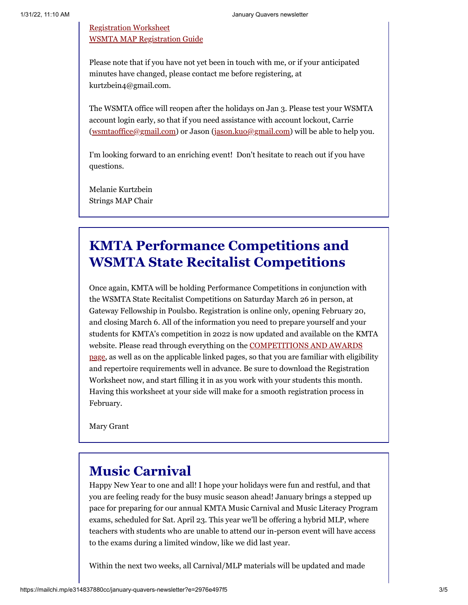## [Registration Worksheet](https://drive.google.com/file/d/1mM00ul_L7tPimruPlF6baiWBaZ8ep1Q-/view) [WSMTA MAP Registration Guide](https://drive.google.com/file/d/12fdG6BVww5EEbYRh3gmb31uNuxAFQR4p/view)

Please note that if you have not yet been in touch with me, or if your anticipated minutes have changed, please contact me before registering, at kurtzbein4@gmail.com.

The WSMTA office will reopen after the holidays on Jan 3. Please test your WSMTA account login early, so that if you need assistance with account lockout, Carrie ([wsmtaoffice@gmail.com](mailto:wsmtaoffice@gmail.com)) or Jason [\(jason.kuo@gmail.com\)](mailto:jason.kuo@gmail.com) will be able to help you.

I'm looking forward to an enriching event! Don't hesitate to reach out if you have questions.

Melanie Kurtzbein Strings MAP Chair

# **KMTA Performance Competitions and WSMTA State Recitalist Competitions**

Once again, KMTA will be holding Performance Competitions in conjunction with the WSMTA State Recitalist Competitions on Saturday March 26 in person, at Gateway Fellowship in Poulsbo. Registration is online only, opening February 20, and closing March 6. All of the information you need to prepare yourself and your students for KMTA's competition in 2022 is now updated and available on the KMTA website. Please read through everything on the COMPETITIONS AND AWARDS [page, as well as on the applicable linked pages, so that you are familiar with eligib](https://kitsapmusicteachers.org/competitions-and-awards/)ility and repertoire requirements well in advance. Be sure to download the Registration Worksheet now, and start filling it in as you work with your students this month. Having this worksheet at your side will make for a smooth registration process in February.

Mary Grant

## **Music Carnival**

Happy New Year to one and all! I hope your holidays were fun and restful, and that you are feeling ready for the busy music season ahead! January brings a stepped up pace for preparing for our annual KMTA Music Carnival and Music Literacy Program exams, scheduled for Sat. April 23. This year we'll be offering a hybrid MLP, where teachers with students who are unable to attend our in-person event will have access to the exams during a limited window, like we did last year.

Within the next two weeks, all Carnival/MLP materials will be updated and made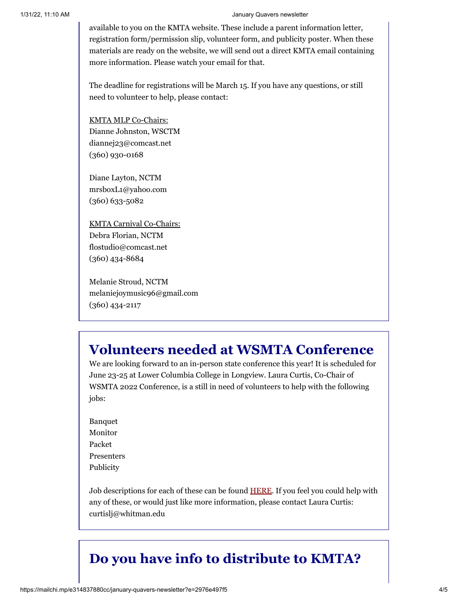#### 1/31/22, 11:10 AM January Quavers newsletter

available to you on the KMTA website. These include a parent information letter, registration form/permission slip, volunteer form, and publicity poster. When these materials are ready on the website, we will send out a direct KMTA email containing more information. Please watch your email for that.

The deadline for registrations will be March 15. If you have any questions, or still need to volunteer to help, please contact:

KMTA MLP Co-Chairs: Dianne Johnston, WSCTM diannej23@comcast.net (360) 930-0168

Diane Layton, NCTM mrsboxL1@yahoo.com (360) 633-5082

KMTA Carnival Co-Chairs: Debra Florian, NCTM flostudio@comcast.net (360) 434-8684

Melanie Stroud, NCTM melaniejoymusic96@gmail.com (360) 434-2117

# **Volunteers needed at WSMTA Conference**

We are looking forward to an in-person state conference this year! It is scheduled for June 23-25 at Lower Columbia College in Longview. Laura Curtis, Co-Chair of WSMTA 2022 Conference, is a still in need of volunteers to help with the following jobs:

Banquet Monitor Packet Presenters Publicity

Job descriptions for each of these can be found [HERE](https://docs.google.com/file/d/1S230o4ocMVi2aUseELHt7-tisBXEzhmy/edit?filetype=msword). If you feel you could help with any of these, or would just like more information, please contact Laura Curtis: curtislj@whitman.edu

# **Do you have info to distribute to KMTA?**